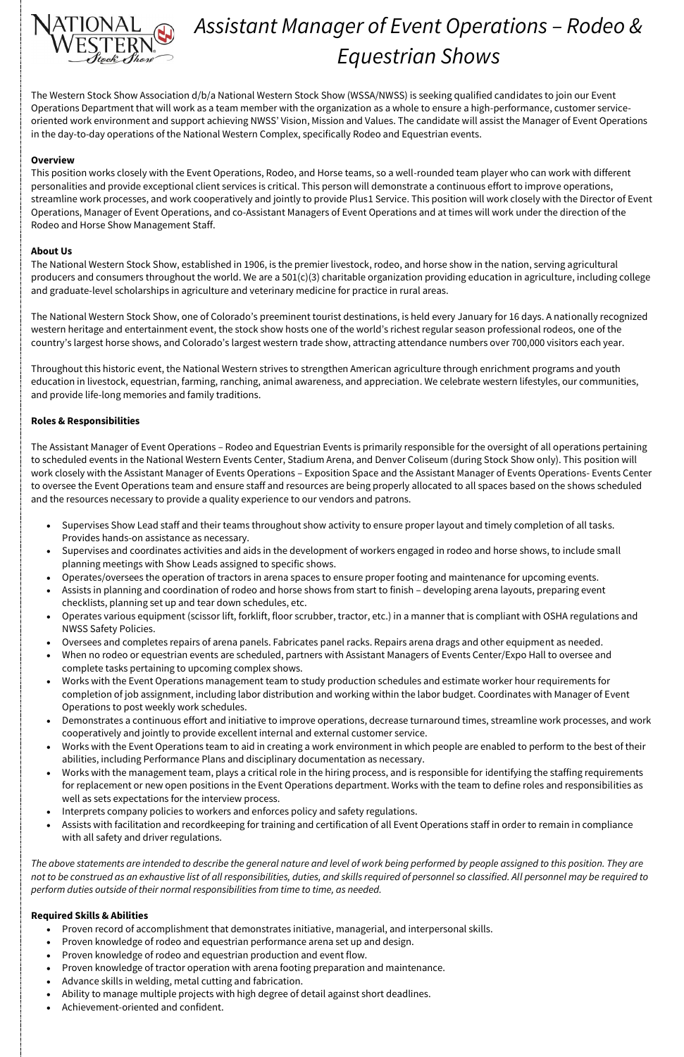

# *Assistant Manager of Event Operations – Rodeo & Equestrian Shows*

The Western Stock Show Association d/b/a National Western Stock Show (WSSA/NWSS) is seeking qualified candidates to join our Event Operations Department that will work as a team member with the organization as a whole to ensure a high-performance, customer serviceoriented work environment and support achieving NWSS' Vision, Mission and Values. The candidate will assist the Manager of Event Operations in the day-to-day operations of the National Western Complex, specifically Rodeo and Equestrian events.

## **Overview**

This position works closely with the Event Operations, Rodeo, and Horse teams, so a well-rounded team player who can work with different personalities and provide exceptional client services is critical. This person will demonstrate a continuous effort to improve operations, streamline work processes, and work cooperatively and jointly to provide Plus1 Service. This position will work closely with the Director of Event Operations, Manager of Event Operations, and co-Assistant Managers of Event Operations and at times will work under the direction of the Rodeo and Horse Show Management Staff.

## **About Us**

The National Western Stock Show, established in 1906, is the premier livestock, rodeo, and horse show in the nation, serving agricultural producers and consumers throughout the world. We are a 501(c)(3) charitable organization providing education in agriculture, including college and graduate-level scholarships in agriculture and veterinary medicine for practice in rural areas.

The National Western Stock Show, one of Colorado's preeminent tourist destinations, is held every January for 16 days. A nationally recognized western heritage and entertainment event, the stock show hosts one of the world's richest regular season professional rodeos, one of the country's largest horse shows, and Colorado's largest western trade show, attracting attendance numbers over 700,000 visitors each year.

Throughout this historic event, the National Western strives to strengthen American agriculture through enrichment programs and youth education in livestock, equestrian, farming, ranching, animal awareness, and appreciation. We celebrate western lifestyles, our communities, and provide life-long memories and family traditions.

## **Roles & Responsibilities**

The Assistant Manager of Event Operations – Rodeo and Equestrian Events is primarily responsible for the oversight of all operations pertaining to scheduled events in the National Western Events Center, Stadium Arena, and Denver Coliseum (during Stock Show only). This position will work closely with the Assistant Manager of Events Operations – Exposition Space and the Assistant Manager of Events Operations- Events Center to oversee the Event Operations team and ensure staff and resources are being properly allocated to all spaces based on the shows scheduled and the resources necessary to provide a quality experience to our vendors and patrons.

- Supervises Show Lead staff and their teams throughout show activity to ensure proper layout and timely completion of all tasks. Provides hands-on assistance as necessary.
- Supervises and coordinates activities and aids in the development of workers engaged in rodeo and horse shows, to include small planning meetings with Show Leads assigned to specific shows.
- Operates/oversees the operation of tractors in arena spaces to ensure proper footing and maintenance for upcoming events.
- Assists in planning and coordination of rodeo and horse shows from start to finish developing arena layouts, preparing event checklists, planning set up and tear down schedules, etc.
- Operates various equipment (scissor lift, forklift, floor scrubber, tractor, etc.) in a manner that is compliant with OSHA regulations and NWSS Safety Policies.
- Oversees and completes repairs of arena panels. Fabricates panel racks. Repairs arena drags and other equipment as needed.
- When no rodeo or equestrian events are scheduled, partners with Assistant Managers of Events Center/Expo Hall to oversee and complete tasks pertaining to upcoming complex shows.
- Works with the Event Operations management team to study production schedules and estimate worker hour requirements for completion of job assignment, including labor distribution and working within the labor budget. Coordinates with Manager of Event Operations to post weekly work schedules.
- Demonstrates a continuous effort and initiative to improve operations, decrease turnaround times, streamline work processes, and work cooperatively and jointly to provide excellent internal and external customer service.
- Works with the Event Operations team to aid in creating a work environment in which people are enabled to perform to the best of their abilities, including Performance Plans and disciplinary documentation as necessary.
- Works with the management team, plays a critical role in the hiring process, and is responsible for identifying the staffing requirements
	- for replacement or new open positions in the Event Operations department. Works with the team to define roles and responsibilities as well as sets expectations for the interview process.
- Interprets company policies to workers and enforces policy and safety regulations.
- Assists with facilitation and recordkeeping for training and certification of all Event Operations staff in order to remain in compliance with all safety and driver regulations.

*The above statements are intended to describe the general nature and level of work being performed by people assigned to this position. They are not to be construed as an exhaustive list of all responsibilities, duties, and skills required of personnel so classified. All personnel may be required to perform duties outside of their normal responsibilities from time to time, as needed.*

## **Required Skills & Abilities**

- Proven record of accomplishment that demonstrates initiative, managerial, and interpersonal skills.
- Proven knowledge of rodeo and equestrian performance arena set up and design.
- Proven knowledge of rodeo and equestrian production and event flow.
- Proven knowledge of tractor operation with arena footing preparation and maintenance.
- Advance skills in welding, metal cutting and fabrication.
- Ability to manage multiple projects with high degree of detail against short deadlines.
- Achievement-oriented and confident.